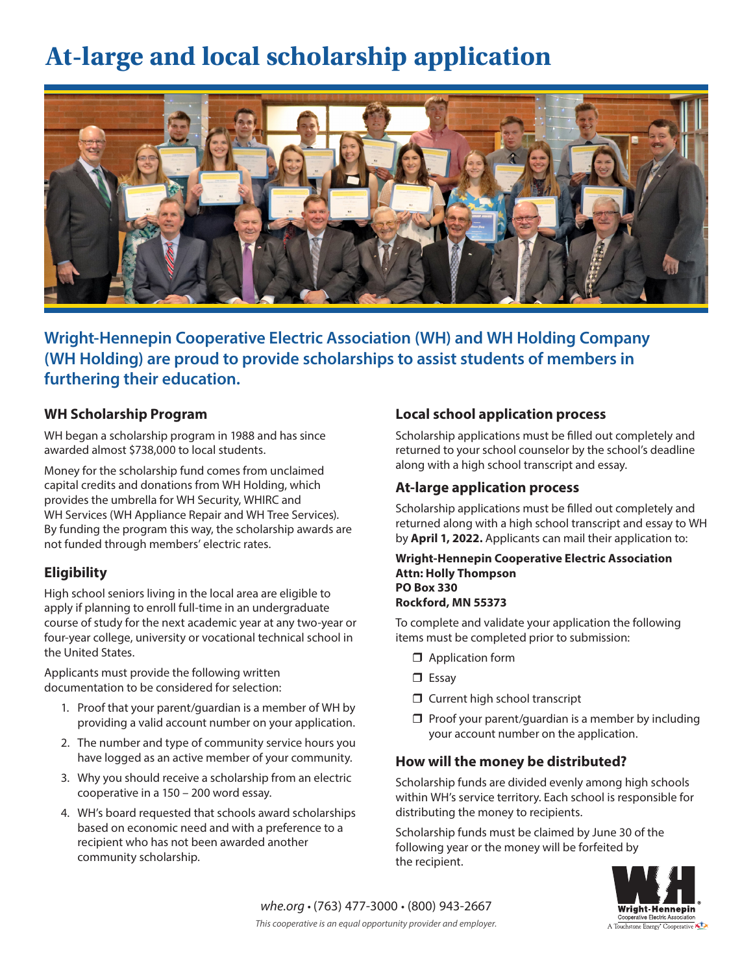# **At-large and local scholarship application**



**Wright-Hennepin Cooperative Electric Association (WH) and WH Holding Company (WH Holding) are proud to provide scholarships to assist students of members in furthering their education.**

#### **WH Scholarship Program**

WH began a scholarship program in 1988 and has since awarded almost \$738,000 to local students.

Money for the scholarship fund comes from unclaimed capital credits and donations from WH Holding, which provides the umbrella for WH Security, WHIRC and WH Services (WH Appliance Repair and WH Tree Services). By funding the program this way, the scholarship awards are not funded through members' electric rates.

### **Eligibility**

High school seniors living in the local area are eligible to apply if planning to enroll full-time in an undergraduate course of study for the next academic year at any two-year or four-year college, university or vocational technical school in the United States.

Applicants must provide the following written documentation to be considered for selection:

- 1. Proof that your parent/guardian is a member of WH by providing a valid account number on your application.
- 2. The number and type of community service hours you have logged as an active member of your community.
- 3. Why you should receive a scholarship from an electric cooperative in a 150 – 200 word essay.
- 4. WH's board requested that schools award scholarships based on economic need and with a preference to a recipient who has not been awarded another community scholarship.

#### **Local school application process**

Scholarship applications must be filled out completely and returned to your school counselor by the school's deadline along with a high school transcript and essay.

#### **At-large application process**

Scholarship applications must be filled out completely and returned along with a high school transcript and essay to WH by **April 1, 2022.** Applicants can mail their application to:

#### **Wright-Hennepin Cooperative Electric Association Attn: Holly Thompson PO Box 330 Rockford, MN 55373**

To complete and validate your application the following items must be completed prior to submission:

- $\Box$  Application form
- $\square$  Essav
- $\Box$  Current high school transcript
- $\Box$  Proof your parent/quardian is a member by including your account number on the application.

#### **How will the money be distributed?**

Scholarship funds are divided evenly among high schools within WH's service territory. Each school is responsible for distributing the money to recipients.

Scholarship funds must be claimed by June 30 of the following year or the money will be forfeited by the recipient.

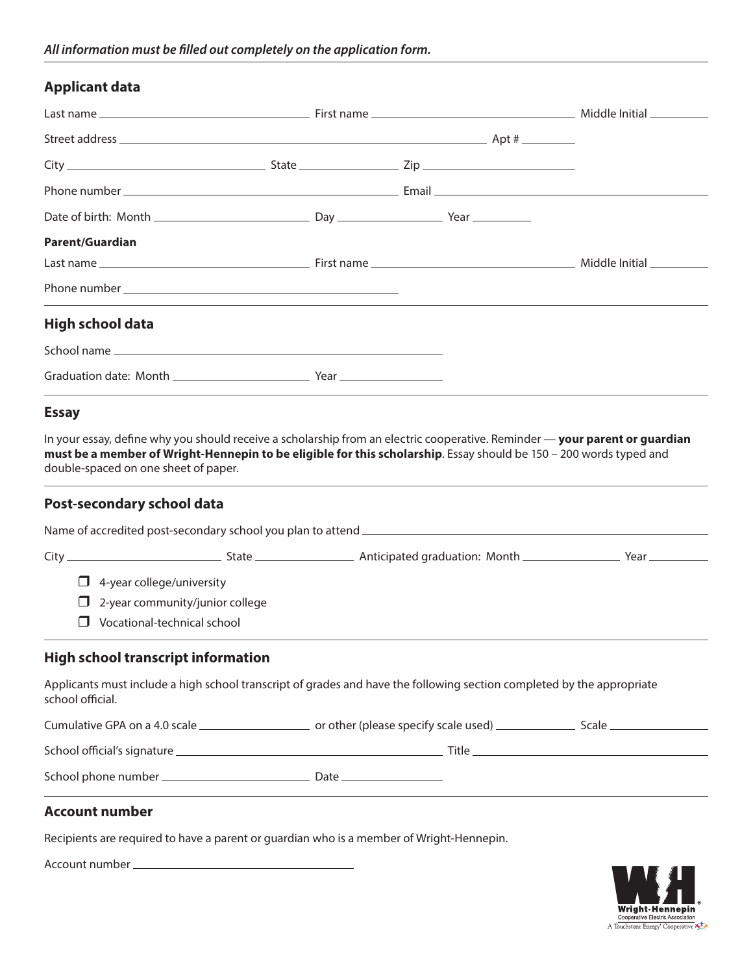## **Applicant data**

| Applicant data                                                                                                                                                                                                                                                                                                                                 |  |  |  |
|------------------------------------------------------------------------------------------------------------------------------------------------------------------------------------------------------------------------------------------------------------------------------------------------------------------------------------------------|--|--|--|
|                                                                                                                                                                                                                                                                                                                                                |  |  |  |
|                                                                                                                                                                                                                                                                                                                                                |  |  |  |
|                                                                                                                                                                                                                                                                                                                                                |  |  |  |
|                                                                                                                                                                                                                                                                                                                                                |  |  |  |
|                                                                                                                                                                                                                                                                                                                                                |  |  |  |
| Parent/Guardian                                                                                                                                                                                                                                                                                                                                |  |  |  |
|                                                                                                                                                                                                                                                                                                                                                |  |  |  |
|                                                                                                                                                                                                                                                                                                                                                |  |  |  |
| High school data                                                                                                                                                                                                                                                                                                                               |  |  |  |
|                                                                                                                                                                                                                                                                                                                                                |  |  |  |
|                                                                                                                                                                                                                                                                                                                                                |  |  |  |
|                                                                                                                                                                                                                                                                                                                                                |  |  |  |
|                                                                                                                                                                                                                                                                                                                                                |  |  |  |
|                                                                                                                                                                                                                                                                                                                                                |  |  |  |
| <b>Essay</b><br>In your essay, define why you should receive a scholarship from an electric cooperative. Reminder — <b>your parent or guardian</b><br>must be a member of Wright-Hennepin to be eligible for this scholarship. Essay should be 150 - 200 words typed and<br>double-spaced on one sheet of paper.<br>Post-secondary school data |  |  |  |
|                                                                                                                                                                                                                                                                                                                                                |  |  |  |
| $\Box$ 4-year college/university                                                                                                                                                                                                                                                                                                               |  |  |  |
| 2-year community/junior college<br>$\Box$                                                                                                                                                                                                                                                                                                      |  |  |  |
| Vocational-technical school<br>$\mathsf{L}$                                                                                                                                                                                                                                                                                                    |  |  |  |
|                                                                                                                                                                                                                                                                                                                                                |  |  |  |
|                                                                                                                                                                                                                                                                                                                                                |  |  |  |
|                                                                                                                                                                                                                                                                                                                                                |  |  |  |
| <b>High school transcript information</b><br>Applicants must include a high school transcript of grades and have the following section completed by the appropriate<br>school official.                                                                                                                                                        |  |  |  |

## **Account number**

Recipients are required to have a parent or guardian who is a member of Wright-Hennepin.

Account number